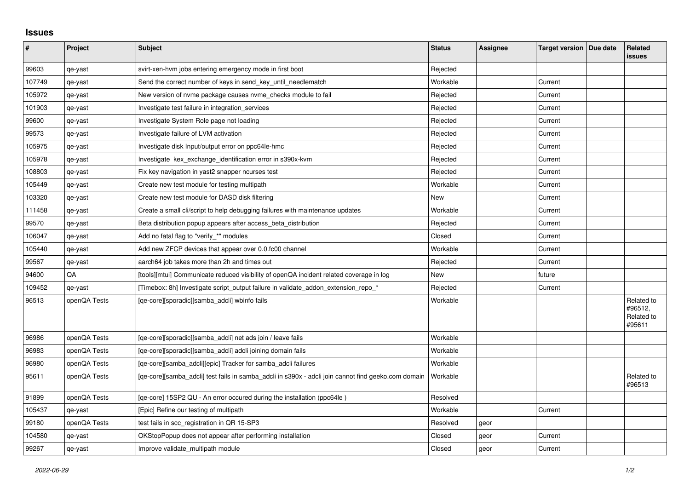## **Issues**

| #      | Project      | <b>Subject</b>                                                                                                 | <b>Status</b> | Assignee | Target version   Due date | Related<br>issues                             |
|--------|--------------|----------------------------------------------------------------------------------------------------------------|---------------|----------|---------------------------|-----------------------------------------------|
| 99603  | qe-yast      | svirt-xen-hvm jobs entering emergency mode in first boot                                                       | Rejected      |          |                           |                                               |
| 107749 | qe-yast      | Send the correct number of keys in send_key_until_needlematch                                                  | Workable      |          | Current                   |                                               |
| 105972 | qe-yast      | New version of nyme package causes nyme checks module to fail                                                  | Rejected      |          | Current                   |                                               |
| 101903 | qe-yast      | Investigate test failure in integration_services                                                               | Rejected      |          | Current                   |                                               |
| 99600  | qe-yast      | Investigate System Role page not loading                                                                       | Rejected      |          | Current                   |                                               |
| 99573  | qe-yast      | Investigate failure of LVM activation                                                                          | Rejected      |          | Current                   |                                               |
| 105975 | qe-yast      | Investigate disk Input/output error on ppc64le-hmc                                                             | Rejected      |          | Current                   |                                               |
| 105978 | qe-yast      | Investigate kex_exchange_identification error in s390x-kvm                                                     | Rejected      |          | Current                   |                                               |
| 108803 | qe-yast      | Fix key navigation in yast2 snapper ncurses test                                                               | Rejected      |          | Current                   |                                               |
| 105449 | qe-yast      | Create new test module for testing multipath                                                                   | Workable      |          | Current                   |                                               |
| 103320 | qe-yast      | Create new test module for DASD disk filtering                                                                 | New           |          | Current                   |                                               |
| 111458 | qe-yast      | Create a small cli/script to help debugging failures with maintenance updates                                  | Workable      |          | Current                   |                                               |
| 99570  | qe-yast      | Beta distribution popup appears after access_beta_distribution                                                 | Rejected      |          | Current                   |                                               |
| 106047 | qe-yast      | Add no fatal flag to "verify_*" modules                                                                        | Closed        |          | Current                   |                                               |
| 105440 | qe-yast      | Add new ZFCP devices that appear over 0.0.fc00 channel                                                         | Workable      |          | Current                   |                                               |
| 99567  | qe-yast      | aarch64 job takes more than 2h and times out                                                                   | Rejected      |          | Current                   |                                               |
| 94600  | QA           | [tools][mtui] Communicate reduced visibility of openQA incident related coverage in log                        | New           |          | future                    |                                               |
| 109452 | qe-yast      | [Timebox: 8h] Investigate script_output failure in validate_addon_extension_repo_*                             | Rejected      |          | Current                   |                                               |
| 96513  | openQA Tests | [qe-core][sporadic][samba adcli] wbinfo fails                                                                  | Workable      |          |                           | Related to<br>#96512,<br>Related to<br>#95611 |
| 96986  | openQA Tests | [qe-core][sporadic][samba_adcli] net ads join / leave fails                                                    | Workable      |          |                           |                                               |
| 96983  | openQA Tests | [qe-core][sporadic][samba_adcli] adcli joining domain fails                                                    | Workable      |          |                           |                                               |
| 96980  | openQA Tests | [qe-core][samba_adcli][epic] Tracker for samba_adcli failures                                                  | Workable      |          |                           |                                               |
| 95611  | openQA Tests | [qe-core][samba_adcli] test fails in samba_adcli in s390x - adcli join cannot find geeko.com domain   Workable |               |          |                           | Related to<br>#96513                          |
| 91899  | openQA Tests | [qe-core] 15SP2 QU - An error occured during the installation (ppc64le)                                        | Resolved      |          |                           |                                               |
| 105437 | qe-yast      | [Epic] Refine our testing of multipath                                                                         | Workable      |          | Current                   |                                               |
| 99180  | openQA Tests | test fails in scc_registration in QR 15-SP3                                                                    | Resolved      | geor     |                           |                                               |
| 104580 | qe-yast      | OKStopPopup does not appear after performing installation                                                      | Closed        | geor     | Current                   |                                               |
| 99267  | qe-yast      | Improve validate multipath module                                                                              | Closed        | geor     | Current                   |                                               |